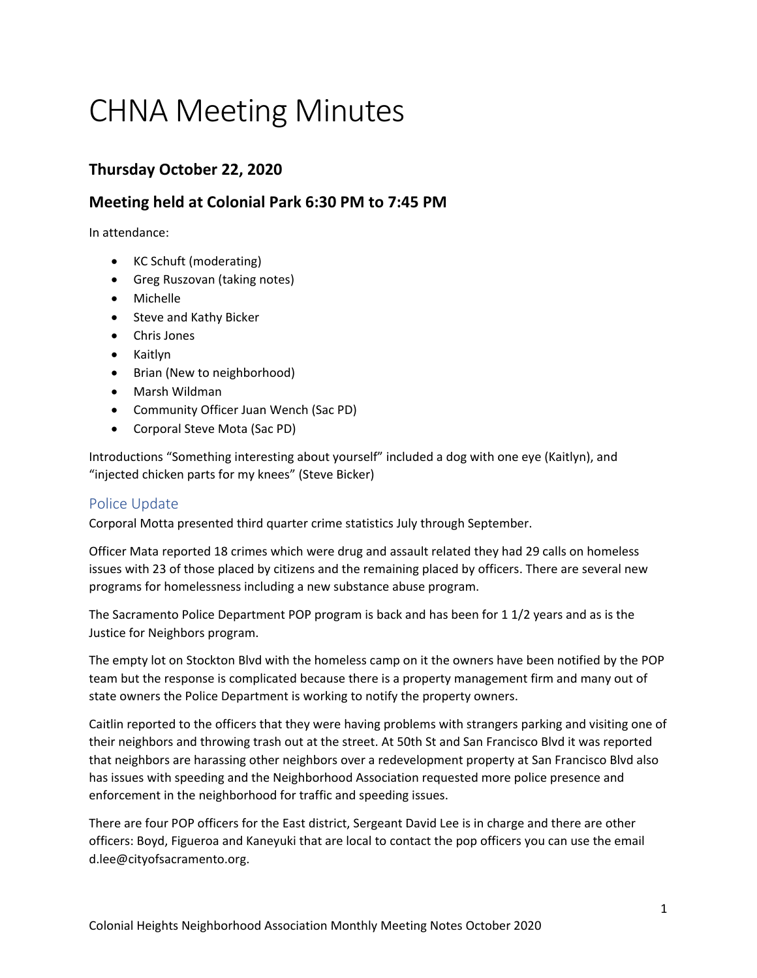# CHNA Meeting Minutes

# **Thursday October 22, 2020**

# **Meeting held at Colonial Park 6:30 PM to 7:45 PM**

In attendance:

- KC Schuft (moderating)
- Greg Ruszovan (taking notes)
- Michelle
- Steve and Kathy Bicker
- Chris Jones
- Kaitlyn
- Brian (New to neighborhood)
- Marsh Wildman
- Community Officer Juan Wench (Sac PD)
- Corporal Steve Mota (Sac PD)

Introductions "Something interesting about yourself" included a dog with one eye (Kaitlyn), and "injected chicken parts for my knees" (Steve Bicker)

# Police Update

Corporal Motta presented third quarter crime statistics July through September.

Officer Mata reported 18 crimes which were drug and assault related they had 29 calls on homeless issues with 23 of those placed by citizens and the remaining placed by officers. There are several new programs for homelessness including a new substance abuse program.

The Sacramento Police Department POP program is back and has been for 1 1/2 years and as is the Justice for Neighbors program.

The empty lot on Stockton Blvd with the homeless camp on it the owners have been notified by the POP team but the response is complicated because there is a property management firm and many out of state owners the Police Department is working to notify the property owners.

Caitlin reported to the officers that they were having problems with strangers parking and visiting one of their neighbors and throwing trash out at the street. At 50th St and San Francisco Blvd it was reported that neighbors are harassing other neighbors over a redevelopment property at San Francisco Blvd also has issues with speeding and the Neighborhood Association requested more police presence and enforcement in the neighborhood for traffic and speeding issues.

There are four POP officers for the East district, Sergeant David Lee is in charge and there are other officers: Boyd, Figueroa and Kaneyuki that are local to contact the pop officers you can use the email d.lee@cityofsacramento.org.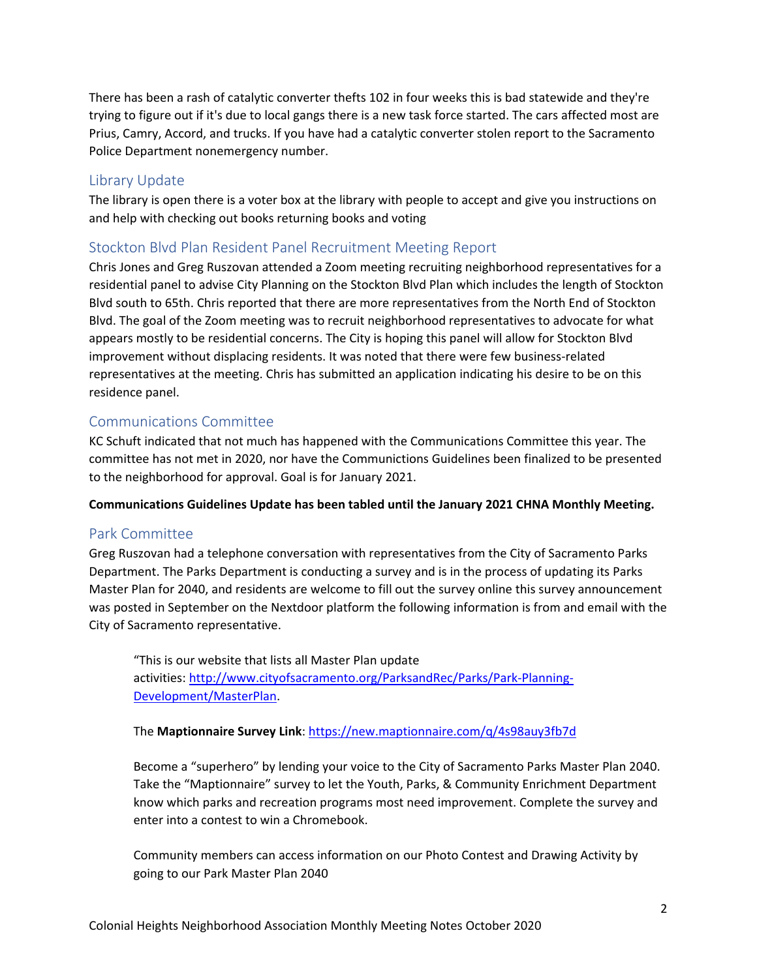There has been a rash of catalytic converter thefts 102 in four weeks this is bad statewide and they're trying to figure out if it's due to local gangs there is a new task force started. The cars affected most are Prius, Camry, Accord, and trucks. If you have had a catalytic converter stolen report to the Sacramento Police Department nonemergency number.

#### Library Update

The library is open there is a voter box at the library with people to accept and give you instructions on and help with checking out books returning books and voting

#### Stockton Blvd Plan Resident Panel Recruitment Meeting Report

Chris Jones and Greg Ruszovan attended a Zoom meeting recruiting neighborhood representatives for a residential panel to advise City Planning on the Stockton Blvd Plan which includes the length of Stockton Blvd south to 65th. Chris reported that there are more representatives from the North End of Stockton Blvd. The goal of the Zoom meeting was to recruit neighborhood representatives to advocate for what appears mostly to be residential concerns. The City is hoping this panel will allow for Stockton Blvd improvement without displacing residents. It was noted that there were few business-related representatives at the meeting. Chris has submitted an application indicating his desire to be on this residence panel.

#### Communications Committee

KC Schuft indicated that not much has happened with the Communications Committee this year. The committee has not met in 2020, nor have the Communictions Guidelines been finalized to be presented to the neighborhood for approval. Goal is for January 2021.

**Communications Guidelines Update has been tabled until the January 2021 CHNA Monthly Meeting.**

### Park Committee

Greg Ruszovan had a telephone conversation with representatives from the City of Sacramento Parks Department. The Parks Department is conducting a survey and is in the process of updating its Parks Master Plan for 2040, and residents are welcome to fill out the survey online this survey announcement was posted in September on the Nextdoor platform the following information is from and email with the City of Sacramento representative.

"This is our website that lists all Master Plan update activities: [http://www.cityofsacramento.org/ParksandRec/Parks/Park-Planning-](http://www.cityofsacramento.org/ParksandRec/Parks/Park-Planning-Development/MasterPlan)[Development/MasterPlan.](http://www.cityofsacramento.org/ParksandRec/Parks/Park-Planning-Development/MasterPlan)

The **Maptionnaire Survey Link**:<https://new.maptionnaire.com/q/4s98auy3fb7d>

Become a "superhero" by lending your voice to the City of Sacramento Parks Master Plan 2040. Take the "Maptionnaire" survey to let the Youth, Parks, & Community Enrichment Department know which parks and recreation programs most need improvement. Complete the survey and enter into a contest to win a Chromebook.

Community members can access information on our Photo Contest and Drawing Activity by going to our Park Master Plan 2040